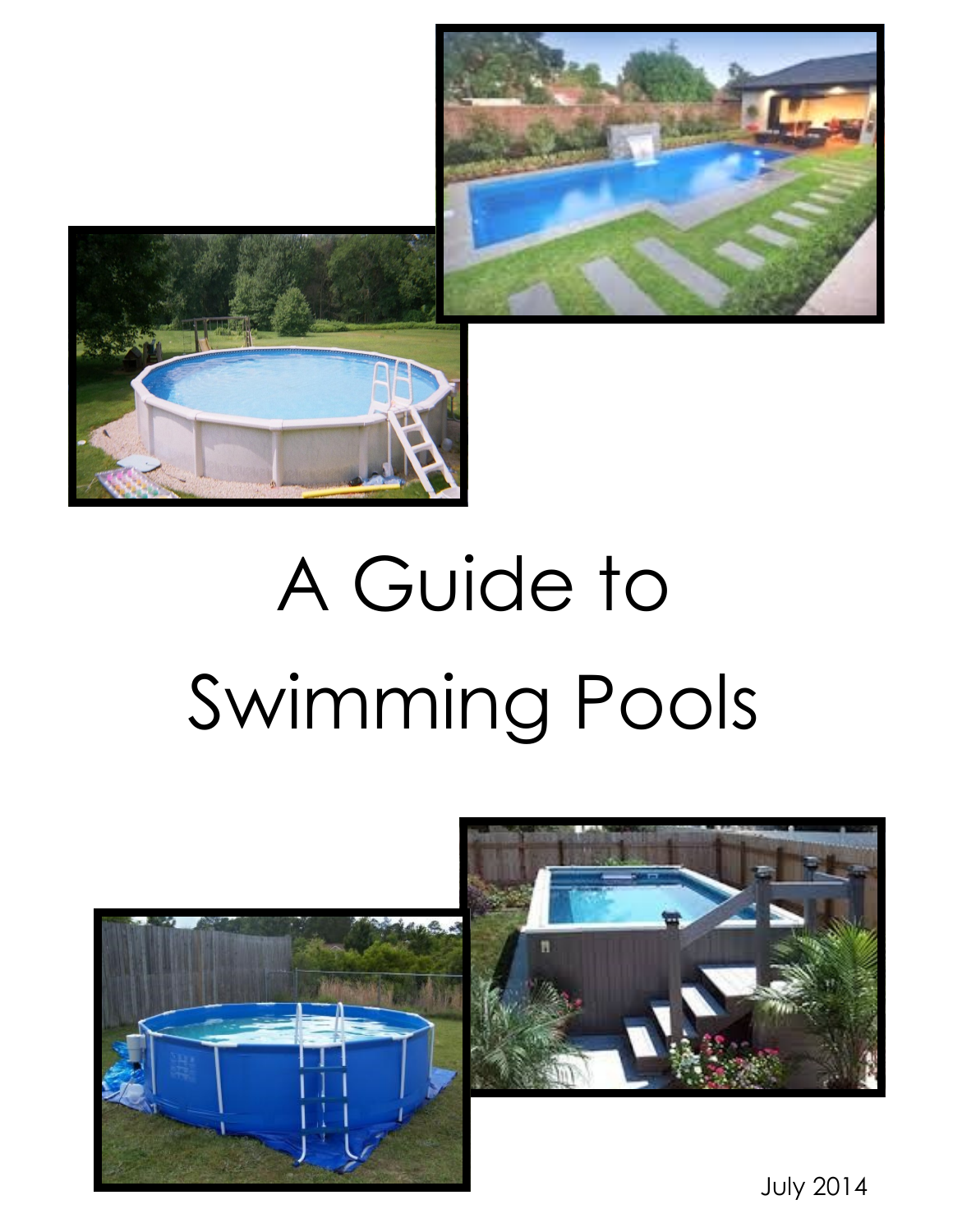



# A Guide to Swimming Pools





July 2014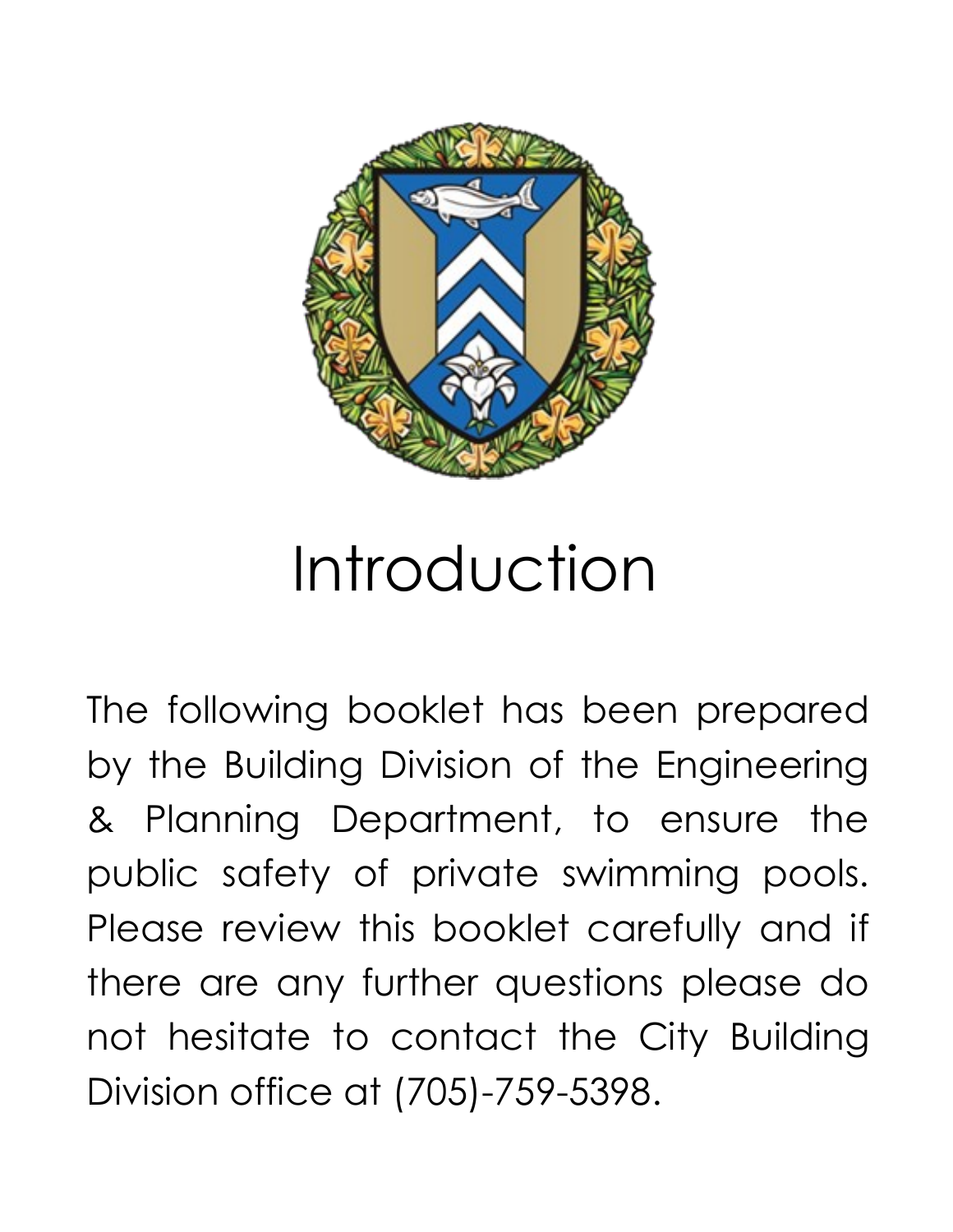

# Introduction

The following booklet has been prepared by the Building Division of the Engineering & Planning Department, to ensure the public safety of private swimming pools. Please review this booklet carefully and if there are any further questions please do not hesitate to contact the City Building Division office at (705)-759-5398.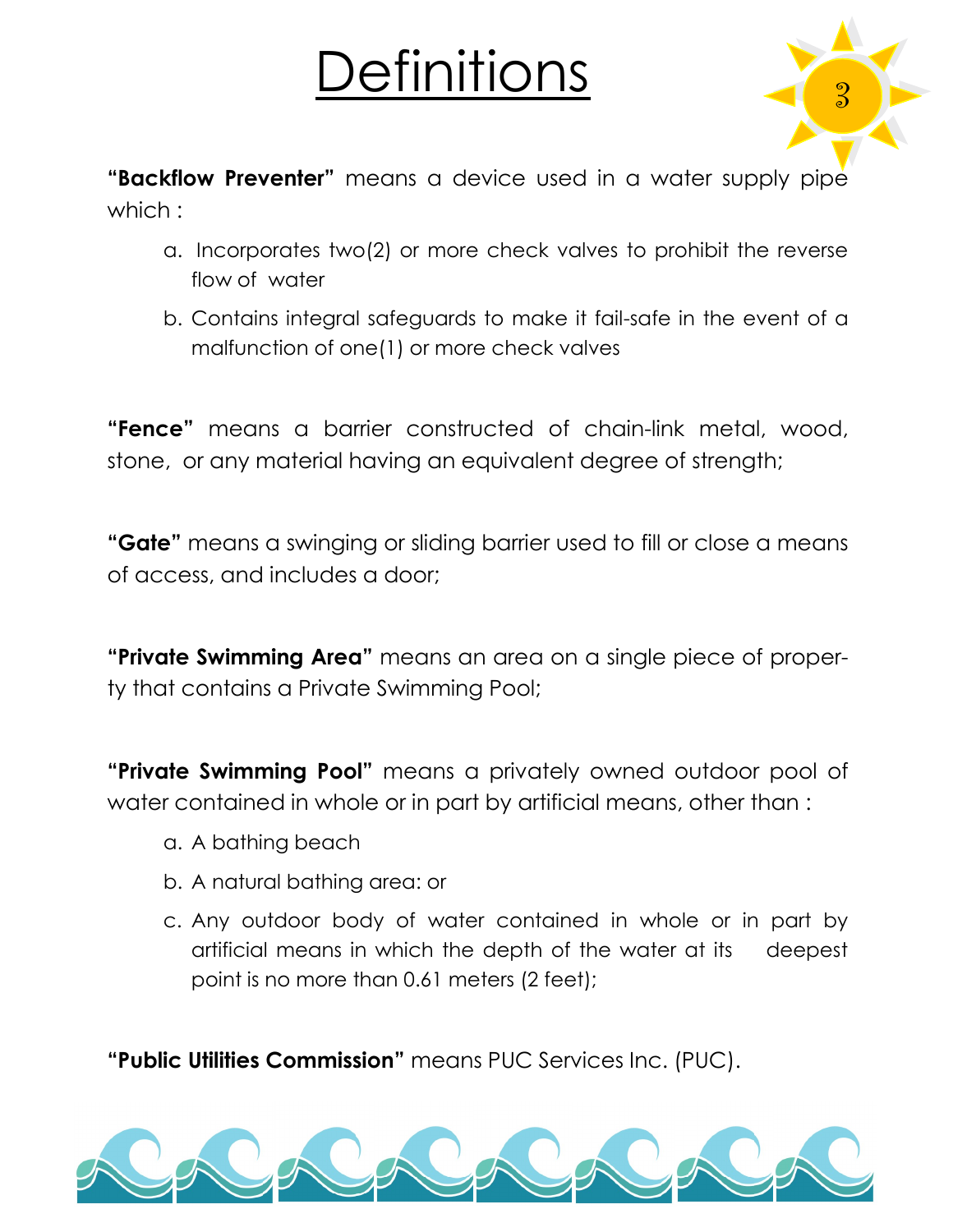# Definitions 3



**"Backflow Preventer"** means a device used in a water supply pipe which :

- a. Incorporates two(2) or more check valves to prohibit the reverse flow of water
- b. Contains integral safeguards to make it fail-safe in the event of a malfunction of one(1) or more check valves

**"Fence"** means a barrier constructed of chain-link metal, wood, stone, or any material having an equivalent degree of strength;

**"Gate"** means a swinging or sliding barrier used to fill or close a means of access, and includes a door;

**"Private Swimming Area"** means an area on a single piece of property that contains a Private Swimming Pool;

**"Private Swimming Pool"** means a privately owned outdoor pool of water contained in whole or in part by artificial means, other than :

- a. A bathing beach
- b. A natural bathing area: or
- c. Any outdoor body of water contained in whole or in part by artificial means in which the depth of the water at its deepest point is no more than 0.61 meters (2 feet);

**"Public Utilities Commission"** means PUC Services Inc. (PUC).

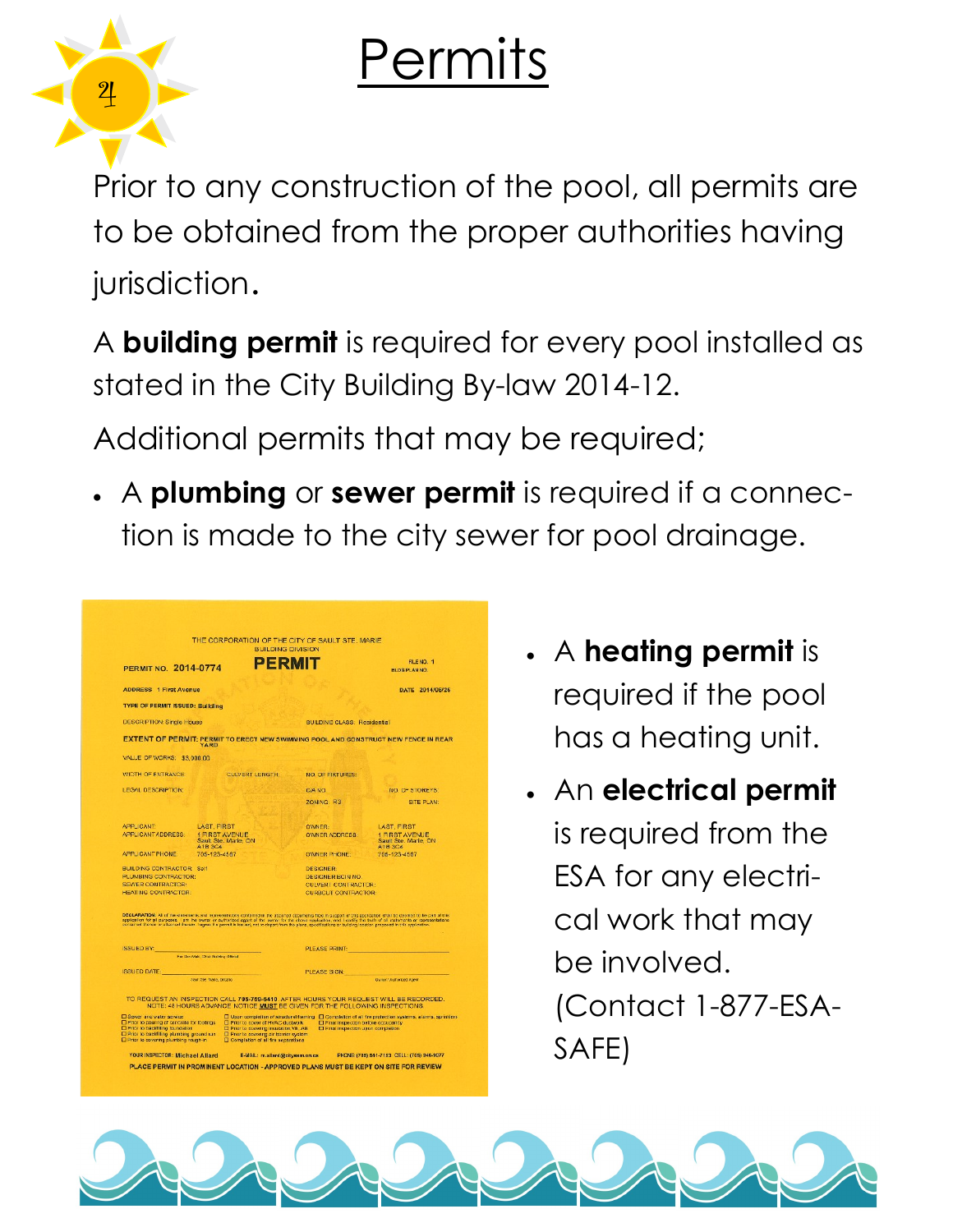### Permits



Prior to any construction of the pool, all permits are to be obtained from the proper authorities having jurisdiction.

A **building permit** is required for every pool installed as stated in the City Building By-law 2014-12.

Additional permits that may be required;

 A **plumbing** or **sewer permit** is required if a connection is made to the city sewer for pool drainage.

|                                                                                                                                                              |                          | <b>BUILDING DIVISION</b>                                                                                                |                                                                                                                                                                       |                                                                                                                                                                                                                                                                                                                                                 |
|--------------------------------------------------------------------------------------------------------------------------------------------------------------|--------------------------|-------------------------------------------------------------------------------------------------------------------------|-----------------------------------------------------------------------------------------------------------------------------------------------------------------------|-------------------------------------------------------------------------------------------------------------------------------------------------------------------------------------------------------------------------------------------------------------------------------------------------------------------------------------------------|
| PFRMI<br><b>PERMIT NO. 2014-0774</b>                                                                                                                         |                          |                                                                                                                         |                                                                                                                                                                       | FILE NO. 1<br><b>BLDG PLAN NO.</b>                                                                                                                                                                                                                                                                                                              |
| <b>ADDRESS 1 First Avenue</b>                                                                                                                                |                          |                                                                                                                         |                                                                                                                                                                       | DATE 2014/06/26                                                                                                                                                                                                                                                                                                                                 |
| <b>TYPE OF PERMIT ISSUED: Building</b>                                                                                                                       |                          |                                                                                                                         |                                                                                                                                                                       |                                                                                                                                                                                                                                                                                                                                                 |
| <b>DESCRIPTION: Single House</b>                                                                                                                             |                          |                                                                                                                         | <b>BUILDING CLASS: Residential</b>                                                                                                                                    |                                                                                                                                                                                                                                                                                                                                                 |
|                                                                                                                                                              | YARD                     |                                                                                                                         |                                                                                                                                                                       | EXTENT OF PERMIT: PERMIT TO ERECT NEW SWIMMING POOL AND CONSTRUCT NEW FENCE IN REAR                                                                                                                                                                                                                                                             |
| VALUE OF WORKS: \$3,000.00                                                                                                                                   |                          |                                                                                                                         |                                                                                                                                                                       |                                                                                                                                                                                                                                                                                                                                                 |
| WIDTH OF ENTRANCE:                                                                                                                                           |                          | <b>CULVERT LENGTH:</b>                                                                                                  | <b>NO. OF FIXTURES:</b>                                                                                                                                               |                                                                                                                                                                                                                                                                                                                                                 |
| LEGAL DESCRIPTION:                                                                                                                                           |                          |                                                                                                                         | C/A NO.                                                                                                                                                               | NO. OF STOREYS:                                                                                                                                                                                                                                                                                                                                 |
|                                                                                                                                                              |                          |                                                                                                                         | ZONING: R3                                                                                                                                                            | SITE PLAN:                                                                                                                                                                                                                                                                                                                                      |
| <b>APPLICANT:</b>                                                                                                                                            | <b>LAST, FIRST</b>       |                                                                                                                         | OWNER:                                                                                                                                                                | LAST, FIRST                                                                                                                                                                                                                                                                                                                                     |
| <b>APPLICANT ADDRESS:</b>                                                                                                                                    | A1B 3C4                  | <b>1 FIRST AVENUE</b><br>Sault Ste. Marie, ON                                                                           | OWNER ADDRESS                                                                                                                                                         | 1 FIRST AVENUE<br>Sault Ste. Marie, ON<br>A1B 3C4                                                                                                                                                                                                                                                                                               |
| <b>APPLICANT PHONE:</b>                                                                                                                                      | 705-123-4567             |                                                                                                                         | <b>OWNER PHONE:</b>                                                                                                                                                   | 705-123-4587                                                                                                                                                                                                                                                                                                                                    |
| <b>BUILDING CONTRACTOR: Salf</b>                                                                                                                             |                          |                                                                                                                         | <b>DESIGNER:</b>                                                                                                                                                      |                                                                                                                                                                                                                                                                                                                                                 |
| PLUMBING CONTRACTOR:                                                                                                                                         |                          |                                                                                                                         | <b>DESIGNER BCIN NO.</b>                                                                                                                                              |                                                                                                                                                                                                                                                                                                                                                 |
| <b>SEWER CONTRACTOR:</b><br><b>HEATING CONTRACTOR.</b>                                                                                                       |                          |                                                                                                                         | <b>CULVERT CONTRACTOR:</b><br><b>CURBCUT CONTRACTOR</b>                                                                                                               |                                                                                                                                                                                                                                                                                                                                                 |
|                                                                                                                                                              |                          |                                                                                                                         | contained therein or etherised therein. Expres if a permit is lested, not to depart from the plans, specifications or building location proposed in this application. | DECLARATION: At of the eleternetic and representations contained in the attorned documents filed in support of this opplication shall be deemed to be part of this<br>application for all purposes. I am the owner or authorized agent of the ewner for the above application, and I carlify the trait of all statisticitis or representations. |
| ISSUED BY:<br>For Bernham, Chief Suiding Officed                                                                                                             |                          |                                                                                                                         | PLEASE PRINT:                                                                                                                                                         |                                                                                                                                                                                                                                                                                                                                                 |
| <b>ISSUED DATE:</b>                                                                                                                                          |                          |                                                                                                                         | PLEASE SIGN:                                                                                                                                                          |                                                                                                                                                                                                                                                                                                                                                 |
|                                                                                                                                                              | Seut: Sw. Marie, Ontario |                                                                                                                         |                                                                                                                                                                       | Owner / Aust orized Agent                                                                                                                                                                                                                                                                                                                       |
|                                                                                                                                                              |                          |                                                                                                                         | NOTE: 48 HOURS ADVANCE NOTICE MUST BE GIVEN FOR THE FOLLOWING INSPECTIONS                                                                                             | TO REQUEST AN INSPECTION CALL 705-759-5410, AFTER HOURS YOUR REQUEST WILL BE RECORDED.                                                                                                                                                                                                                                                          |
| El Sewer and water service<br>□ Prior to pouring of concrete for footings<br>Prior to backfilling foundation<br>El Prior to backfilling plumbing ground run. |                          | El Prior to cover of HVAC ductwork.<br>El Prior to covering insulation.VB. AB<br>El Prior to covering air barner system | El Final inspection before oppupancy.<br>El Final inspection upon completion                                                                                          | □ Upon complation of structural framing □ Complation of all fra protection systems, alarms, sprinklers                                                                                                                                                                                                                                          |

- A **heating permit** is required if the pool has a heating unit.
- An **electrical permit**  is required from the ESA for any electrical work that may be involved. (Contact 1-877-ESA-SAFE)

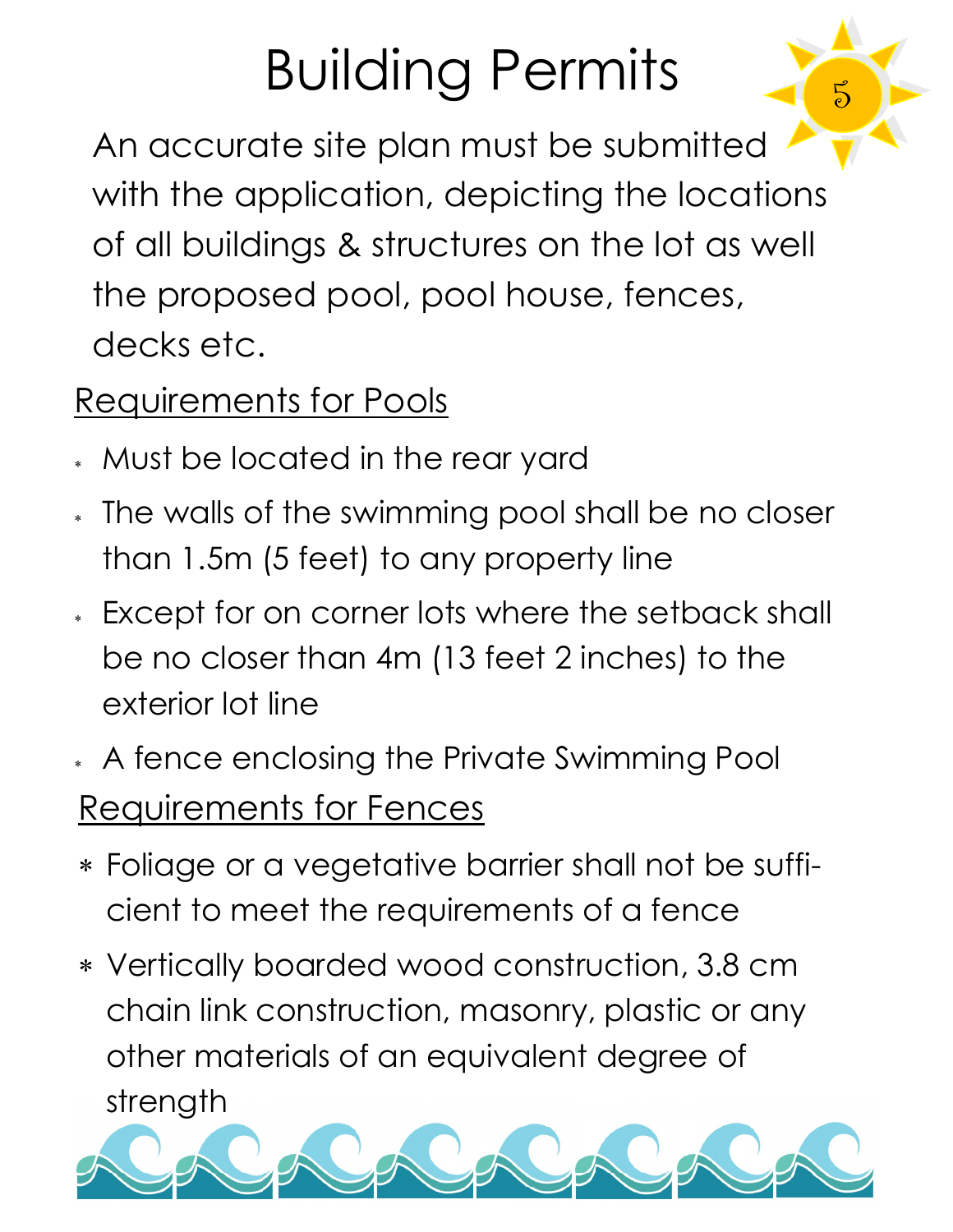# Building Permits

 $5\overline{)}$ 

An accurate site plan must be submitted with the application, depicting the locations of all buildings & structures on the lot as well the proposed pool, pool house, fences, decks etc.

### Requirements for Pools

- Must be located in the rear yard
- The walls of the swimming pool shall be no closer than 1.5m (5 feet) to any property line
- Except for on corner lots where the setback shall be no closer than 4m (13 feet 2 inches) to the exterior lot line
- A fence enclosing the Private Swimming Pool Requirements for Fences
- Foliage or a vegetative barrier shall not be sufficient to meet the requirements of a fence
- Vertically boarded wood construction, 3.8 cm chain link construction, masonry, plastic or any other materials of an equivalent degree of strength

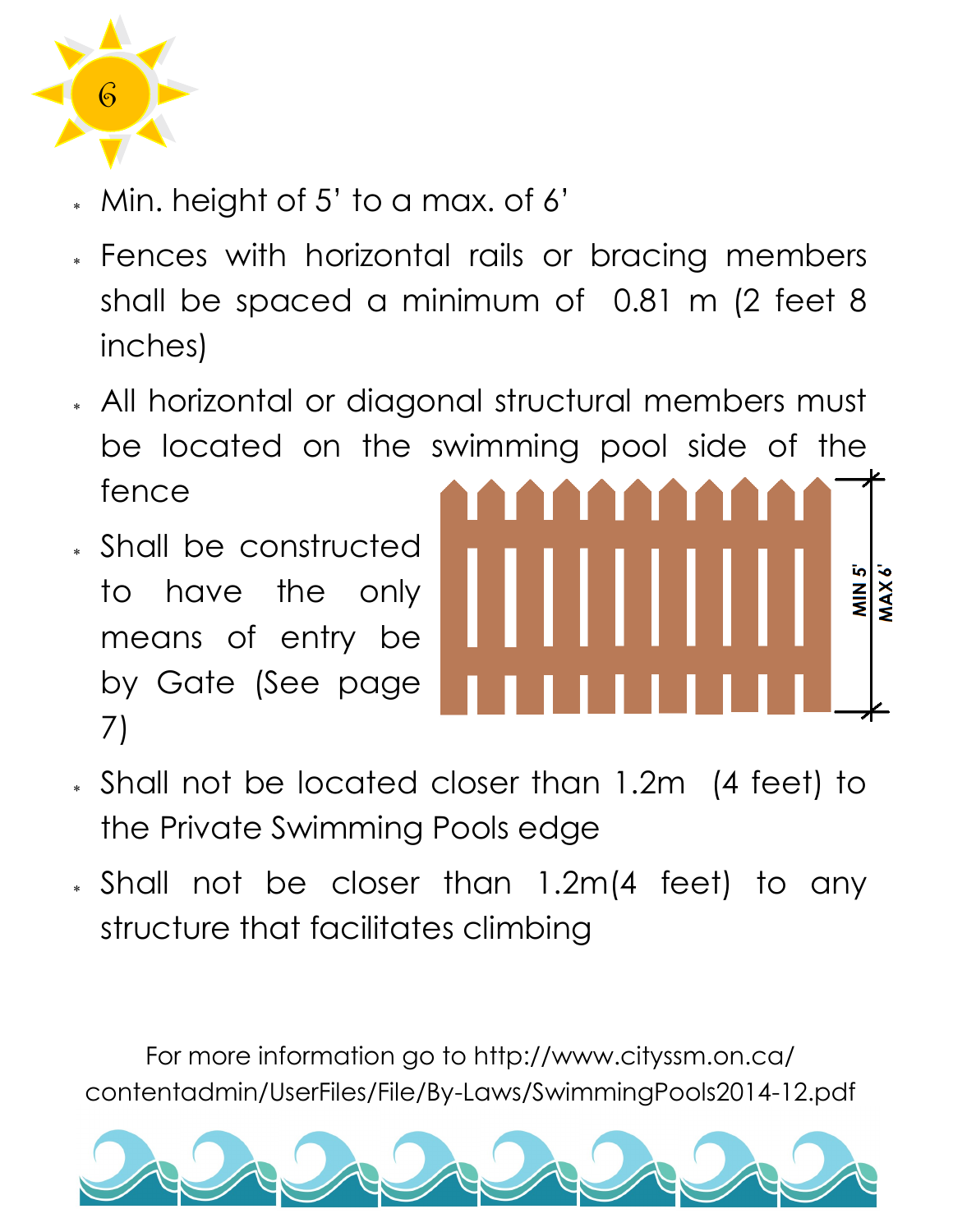

- Min. height of 5' to a max. of 6'
- Fences with horizontal rails or bracing members shall be spaced a minimum of 0.81 m (2 feet 8 inches)
- All horizontal or diagonal structural members must be located on the swimming pool side of the fence
- Shall be constructed to have the only means of entry be by Gate (See page 7)



- Shall not be located closer than 1.2m (4 feet) to the Private Swimming Pools edge
- Shall not be closer than 1.2m(4 feet) to any structure that facilitates climbing

For more information go to http://www.cityssm.on.ca/ contentadmin/UserFiles/File/By-Laws/SwimmingPools2014-12.pdf

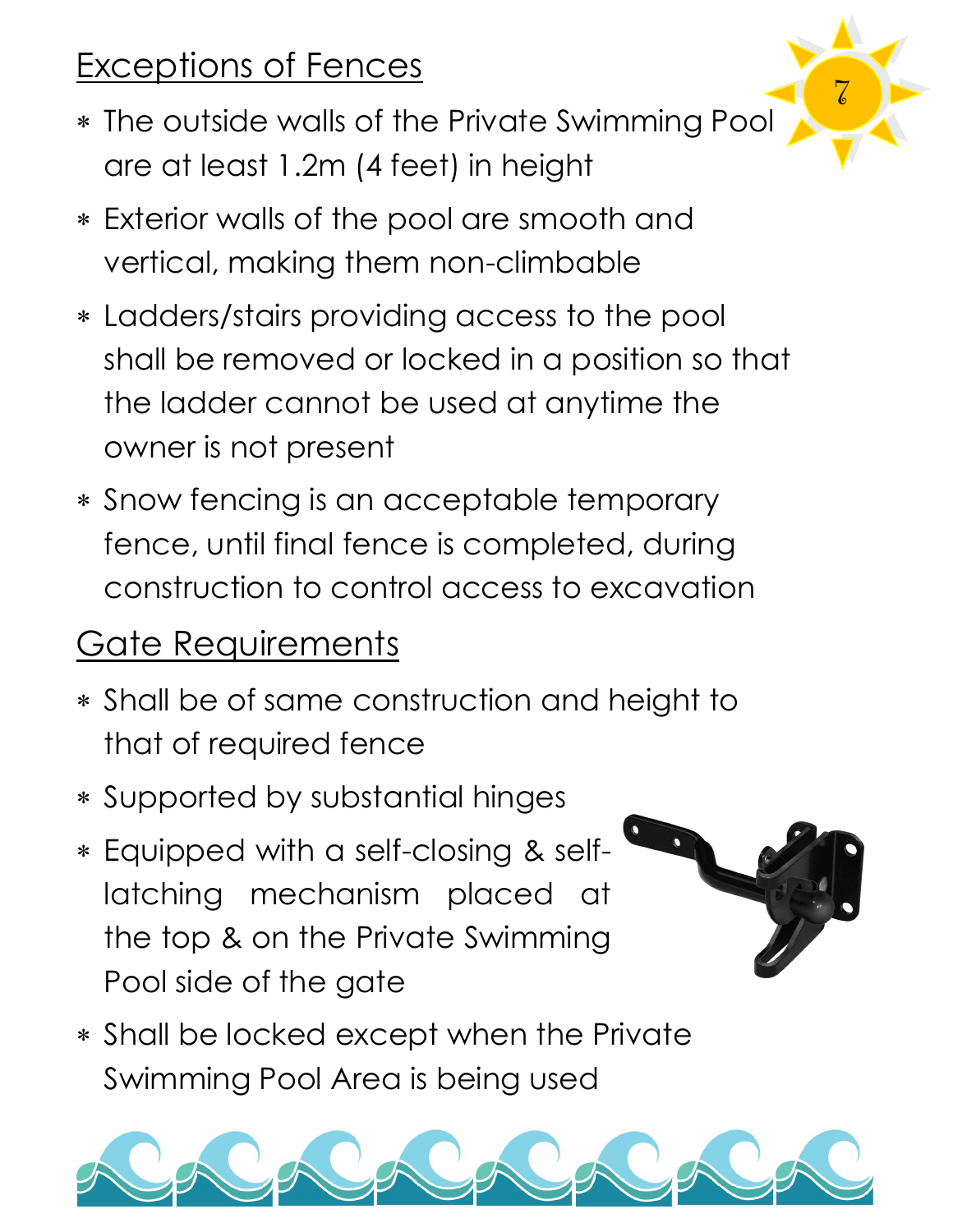### Exceptions of Fences

 The outside walls of the Private Swimming Pool are at least 1.2m (4 feet) in height

7

- Exterior walls of the pool are smooth and vertical, making them non-climbable
- Ladders/stairs providing access to the pool shall be removed or locked in a position so that the ladder cannot be used at anytime the owner is not present
- Snow fencing is an acceptable temporary fence, until final fence is completed, during construction to control access to excavation

### Gate Requirements

- Shall be of same construction and height to that of required fence
- Supported by substantial hinges
- Equipped with a self-closing & selflatching mechanism placed at the top & on the Private Swimming Pool side of the gate
- Shall be locked except when the Private Swimming Pool Area is being used

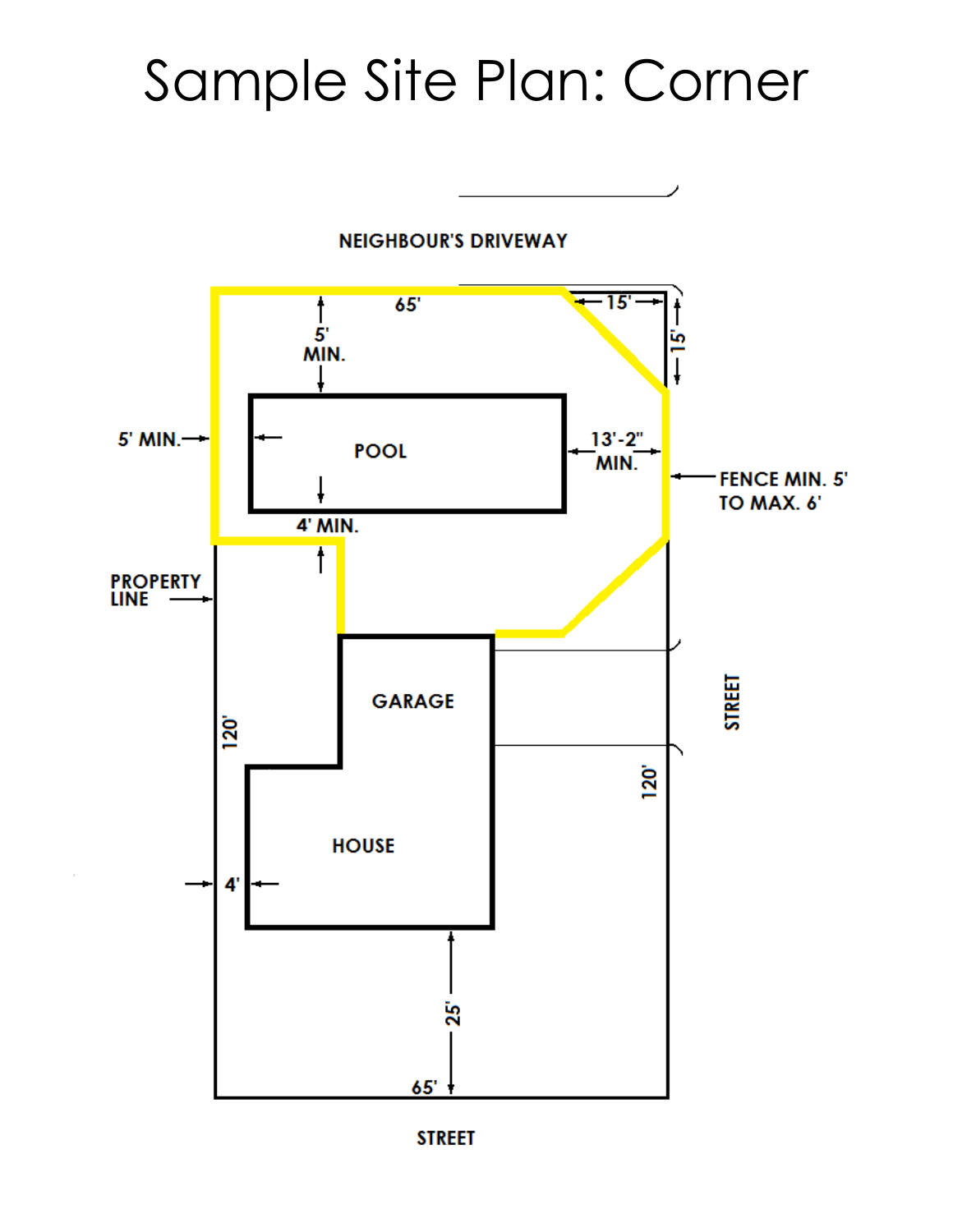### Sample Site Plan: Corner



**STREET**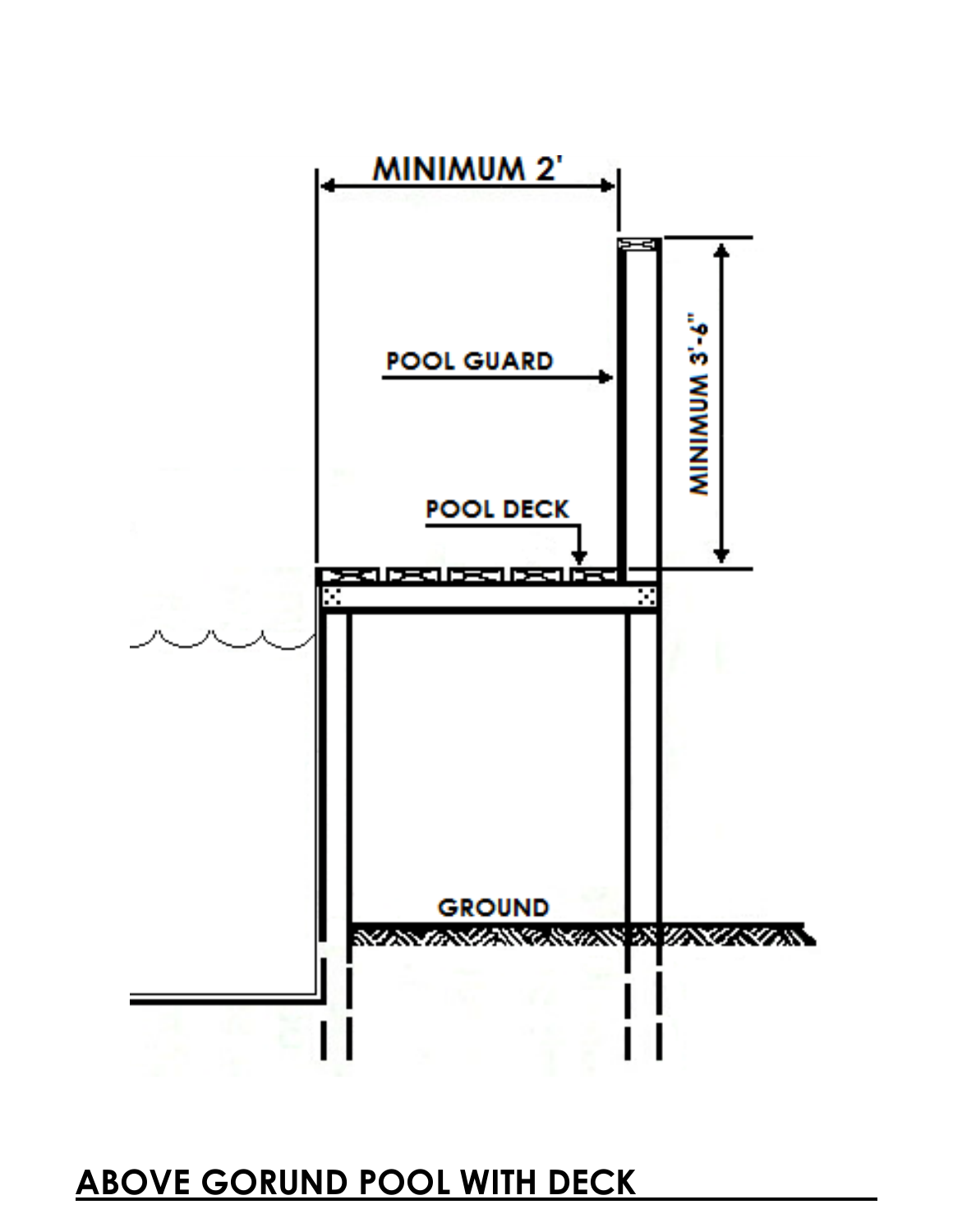#### **ABOVE GORUND POOL WITH DECK**

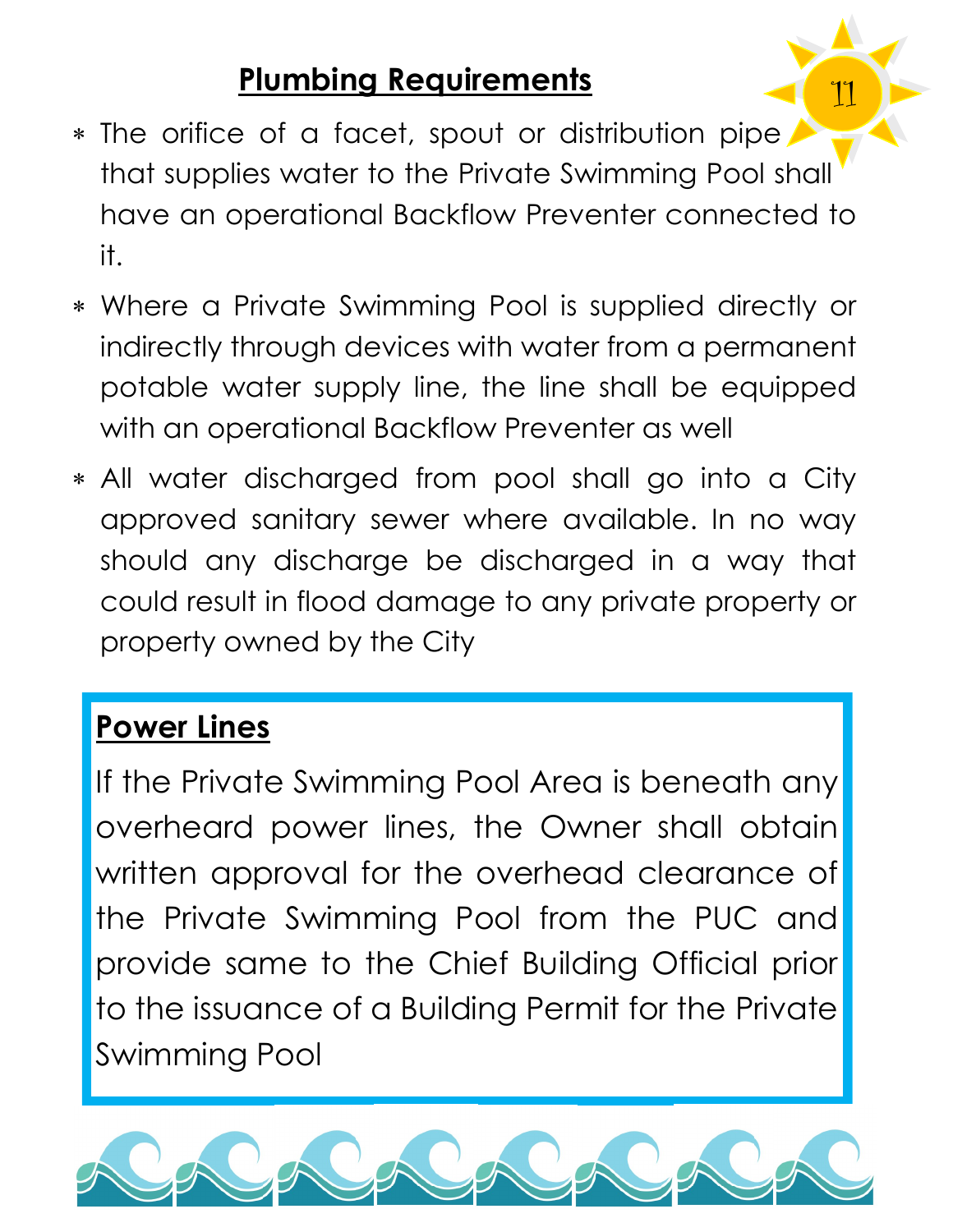#### **Plumbing Requirements**

\* The orifice of a facet, spout or distribution pipe that supplies water to the Private Swimming Pool shall have an operational Backflow Preventer connected to it.

11

- Where a Private Swimming Pool is supplied directly or indirectly through devices with water from a permanent potable water supply line, the line shall be equipped with an operational Backflow Preventer as well
- All water discharged from pool shall go into a City approved sanitary sewer where available. In no way should any discharge be discharged in a way that could result in flood damage to any private property or property owned by the City

#### **Power Lines**

If the Private Swimming Pool Area is beneath any overheard power lines, the Owner shall obtain written approval for the overhead clearance of the Private Swimming Pool from the PUC and provide same to the Chief Building Official prior to the issuance of a Building Permit for the Private Swimming Pool